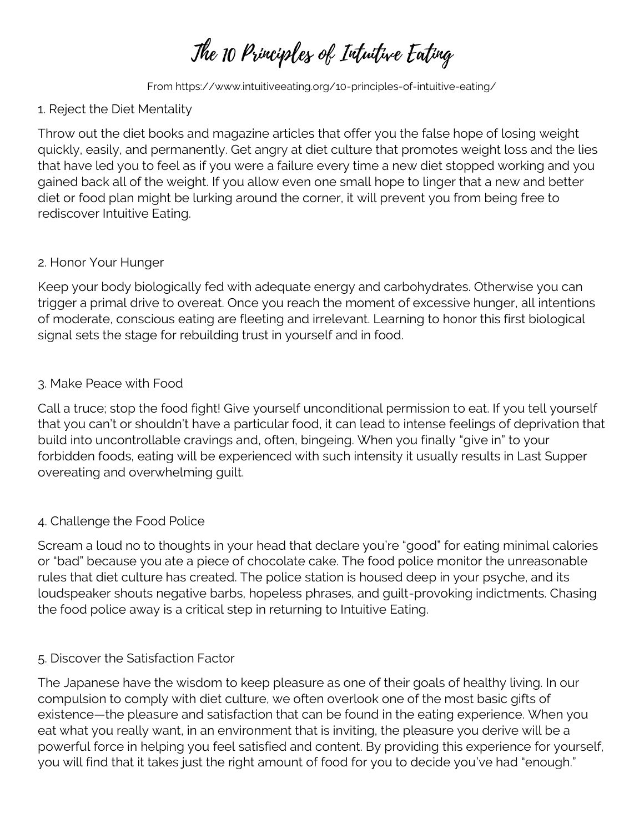The 10 Principles of Intuitive Enting

From https://www.intuitiveeating.org/10-principles-of-intuitive-eating/

# 1. Reject the Diet Mentality

Throw out the diet books and magazine articles that offer you the false hope of losing weight quickly, easily, and permanently. Get angry at diet culture that promotes weight loss and the lies that have led you to feel as if you were a failure every time a new diet stopped working and you gained back all of the weight. If you allow even one small hope to linger that a new and better diet or food plan might be lurking around the corner, it will prevent you from being free to rediscover Intuitive Eating.

# 2. Honor Your Hunger

Keep your body biologically fed with adequate energy and carbohydrates. Otherwise you can trigger a primal drive to overeat. Once you reach the moment of excessive hunger, all intentions of moderate, conscious eating are fleeting and irrelevant. Learning to honor this first biological signal sets the stage for rebuilding trust in yourself and in food.

# 3. Make Peace with Food

Call a truce; stop the food fight! Give yourself unconditional permission to eat. If you tell yourself that you can't or shouldn't have a particular food, it can lead to intense feelings of deprivation that build into uncontrollable cravings and, often, bingeing. When you finally "give in" to your forbidden foods, eating will be experienced with such intensity it usually results in Last Supper overeating and overwhelming guilt.

# 4. Challenge the Food Police

Scream a loud no to thoughts in your head that declare you're "good" for eating minimal calories or "bad" because you ate a piece of chocolate cake. The food police monitor the unreasonable rules that diet culture has created. The police station is housed deep in your psyche, and its loudspeaker shouts negative barbs, hopeless phrases, and guilt-provoking indictments. Chasing the food police away is a critical step in returning to Intuitive Eating.

# 5. Discover the Satisfaction Factor

The Japanese have the wisdom to keep pleasure as one of their goals of healthy living. In our compulsion to comply with diet culture, we often overlook one of the most basic gifts of existence—the pleasure and satisfaction that can be found in the eating experience. When you eat what you really want, in an environment that is inviting, the pleasure you derive will be a powerful force in helping you feel satisfied and content. By providing this experience for yourself, you will find that it takes just the right amount of food for you to decide you've had "enough."